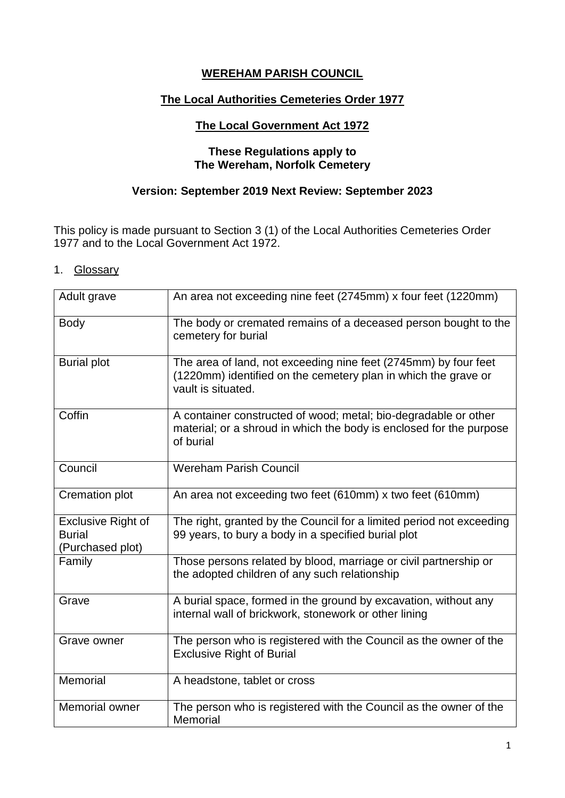# **WEREHAM PARISH COUNCIL**

### **The Local Authorities Cemeteries Order 1977**

### **The Local Government Act 1972**

### **These Regulations apply to The Wereham, Norfolk Cemetery**

## **Version: September 2019 Next Review: September 2023**

This policy is made pursuant to Section 3 (1) of the Local Authorities Cemeteries Order 1977 and to the Local Government Act 1972.

1. Glossary

| Adult grave                                                    | An area not exceeding nine feet (2745mm) x four feet (1220mm)                                                                                           |  |  |
|----------------------------------------------------------------|---------------------------------------------------------------------------------------------------------------------------------------------------------|--|--|
| <b>Body</b>                                                    | The body or cremated remains of a deceased person bought to the<br>cemetery for burial                                                                  |  |  |
| <b>Burial plot</b>                                             | The area of land, not exceeding nine feet (2745mm) by four feet<br>(1220mm) identified on the cemetery plan in which the grave or<br>vault is situated. |  |  |
| Coffin                                                         | A container constructed of wood; metal; bio-degradable or other<br>material; or a shroud in which the body is enclosed for the purpose<br>of burial     |  |  |
| Council                                                        | <b>Wereham Parish Council</b>                                                                                                                           |  |  |
| Cremation plot                                                 | An area not exceeding two feet (610mm) x two feet (610mm)                                                                                               |  |  |
| <b>Exclusive Right of</b><br><b>Burial</b><br>(Purchased plot) | The right, granted by the Council for a limited period not exceeding<br>99 years, to bury a body in a specified burial plot                             |  |  |
| Family                                                         | Those persons related by blood, marriage or civil partnership or<br>the adopted children of any such relationship                                       |  |  |
| Grave                                                          | A burial space, formed in the ground by excavation, without any<br>internal wall of brickwork, stonework or other lining                                |  |  |
| Grave owner                                                    | The person who is registered with the Council as the owner of the<br><b>Exclusive Right of Burial</b>                                                   |  |  |
| <b>Memorial</b>                                                | A headstone, tablet or cross                                                                                                                            |  |  |
| <b>Memorial owner</b>                                          | The person who is registered with the Council as the owner of the<br>Memorial                                                                           |  |  |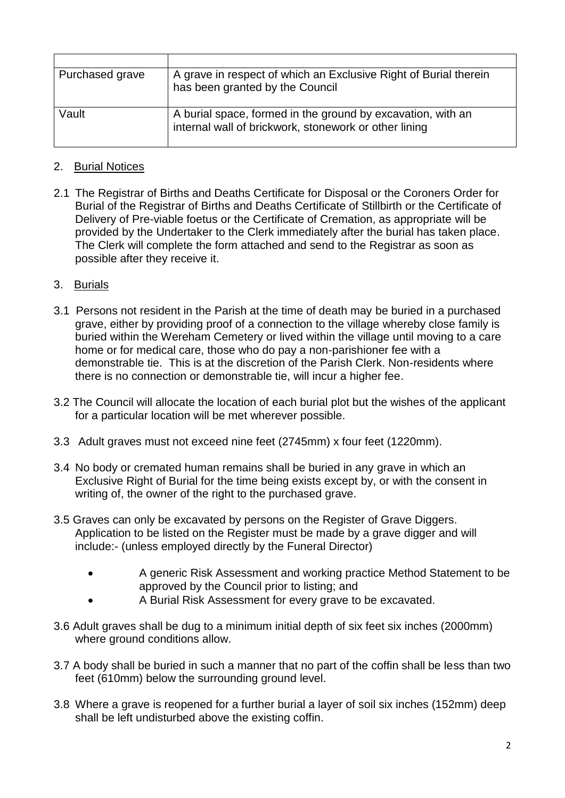| Purchased grave | A grave in respect of which an Exclusive Right of Burial therein<br>has been granted by the Council                  |
|-----------------|----------------------------------------------------------------------------------------------------------------------|
| Vault           | A burial space, formed in the ground by excavation, with an<br>internal wall of brickwork, stonework or other lining |

## 2. Burial Notices

2.1 The Registrar of Births and Deaths Certificate for Disposal or the Coroners Order for Burial of the Registrar of Births and Deaths Certificate of Stillbirth or the Certificate of Delivery of Pre-viable foetus or the Certificate of Cremation, as appropriate will be provided by the Undertaker to the Clerk immediately after the burial has taken place. The Clerk will complete the form attached and send to the Registrar as soon as possible after they receive it.

### 3. Burials

- 3.1 Persons not resident in the Parish at the time of death may be buried in a purchased grave, either by providing proof of a connection to the village whereby close family is buried within the Wereham Cemetery or lived within the village until moving to a care home or for medical care, those who do pay a non-parishioner fee with a demonstrable tie. This is at the discretion of the Parish Clerk. Non-residents where there is no connection or demonstrable tie, will incur a higher fee.
- 3.2 The Council will allocate the location of each burial plot but the wishes of the applicant for a particular location will be met wherever possible.
- 3.3 Adult graves must not exceed nine feet (2745mm) x four feet (1220mm).
- 3.4 No body or cremated human remains shall be buried in any grave in which an Exclusive Right of Burial for the time being exists except by, or with the consent in writing of, the owner of the right to the purchased grave.
- 3.5 Graves can only be excavated by persons on the Register of Grave Diggers. Application to be listed on the Register must be made by a grave digger and will include:- (unless employed directly by the Funeral Director)
	- A generic Risk Assessment and working practice Method Statement to be approved by the Council prior to listing; and
	- A Burial Risk Assessment for every grave to be excavated.
- 3.6 Adult graves shall be dug to a minimum initial depth of six feet six inches (2000mm) where ground conditions allow.
- 3.7 A body shall be buried in such a manner that no part of the coffin shall be less than two feet (610mm) below the surrounding ground level.
- 3.8 Where a grave is reopened for a further burial a layer of soil six inches (152mm) deep shall be left undisturbed above the existing coffin.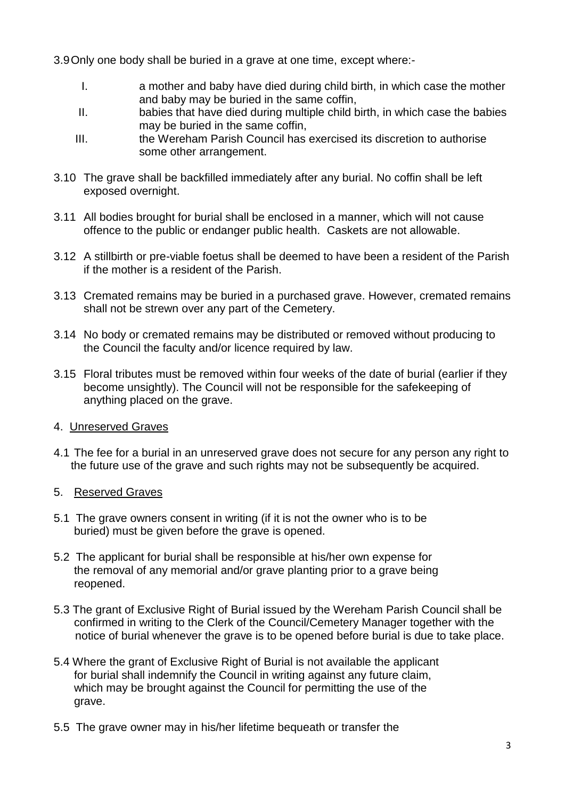3.9Only one body shall be buried in a grave at one time, except where:-

- I. a mother and baby have died during child birth, in which case the mother and baby may be buried in the same coffin,
- II. babies that have died during multiple child birth, in which case the babies may be buried in the same coffin,
- III. the Wereham Parish Council has exercised its discretion to authorise some other arrangement.
- 3.10 The grave shall be backfilled immediately after any burial. No coffin shall be left exposed overnight.
- 3.11 All bodies brought for burial shall be enclosed in a manner, which will not cause offence to the public or endanger public health. Caskets are not allowable.
- 3.12 A stillbirth or pre-viable foetus shall be deemed to have been a resident of the Parish if the mother is a resident of the Parish.
- 3.13 Cremated remains may be buried in a purchased grave. However, cremated remains shall not be strewn over any part of the Cemetery.
- 3.14 No body or cremated remains may be distributed or removed without producing to the Council the faculty and/or licence required by law.
- 3.15 Floral tributes must be removed within four weeks of the date of burial (earlier if they become unsightly). The Council will not be responsible for the safekeeping of anything placed on the grave.

## 4. Unreserved Graves

4.1 The fee for a burial in an unreserved grave does not secure for any person any right to the future use of the grave and such rights may not be subsequently be acquired.

## 5. Reserved Graves

- 5.1 The grave owners consent in writing (if it is not the owner who is to be buried) must be given before the grave is opened.
- 5.2 The applicant for burial shall be responsible at his/her own expense for the removal of any memorial and/or grave planting prior to a grave being reopened.
- 5.3 The grant of Exclusive Right of Burial issued by the Wereham Parish Council shall be confirmed in writing to the Clerk of the Council/Cemetery Manager together with the notice of burial whenever the grave is to be opened before burial is due to take place.
- 5.4 Where the grant of Exclusive Right of Burial is not available the applicant for burial shall indemnify the Council in writing against any future claim, which may be brought against the Council for permitting the use of the grave.
- 5.5 The grave owner may in his/her lifetime bequeath or transfer the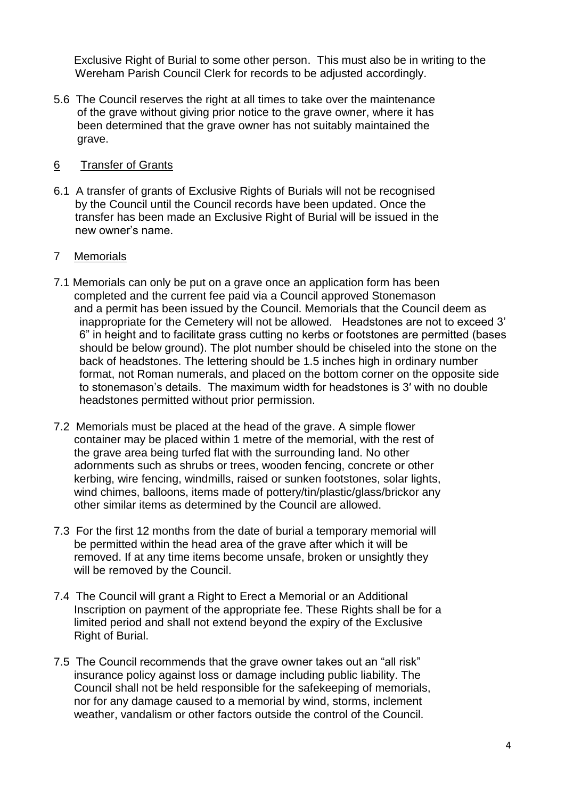Exclusive Right of Burial to some other person. This must also be in writing to the Wereham Parish Council Clerk for records to be adjusted accordingly.

5.6 The Council reserves the right at all times to take over the maintenance of the grave without giving prior notice to the grave owner, where it has been determined that the grave owner has not suitably maintained the grave.

## 6 Transfer of Grants

6.1 A transfer of grants of Exclusive Rights of Burials will not be recognised by the Council until the Council records have been updated. Once the transfer has been made an Exclusive Right of Burial will be issued in the new owner's name.

### 7 Memorials

- 7.1 Memorials can only be put on a grave once an application form has been completed and the current fee paid via a Council approved Stonemason and a permit has been issued by the Council. Memorials that the Council deem as inappropriate for the Cemetery will not be allowed. Headstones are not to exceed 3' 6" in height and to facilitate grass cutting no kerbs or footstones are permitted (bases should be below ground). The plot number should be chiseled into the stone on the back of headstones. The lettering should be 1.5 inches high in ordinary number format, not Roman numerals, and placed on the bottom corner on the opposite side to stonemason's details. The maximum width for headstones is 3′ with no double headstones permitted without prior permission.
- 7.2 Memorials must be placed at the head of the grave. A simple flower container may be placed within 1 metre of the memorial, with the rest of the grave area being turfed flat with the surrounding land. No other adornments such as shrubs or trees, wooden fencing, concrete or other kerbing, wire fencing, windmills, raised or sunken footstones, solar lights, wind chimes, balloons, items made of pottery/tin/plastic/glass/brickor any other similar items as determined by the Council are allowed.
- 7.3 For the first 12 months from the date of burial a temporary memorial will be permitted within the head area of the grave after which it will be removed. If at any time items become unsafe, broken or unsightly they will be removed by the Council.
- 7.4 The Council will grant a Right to Erect a Memorial or an Additional Inscription on payment of the appropriate fee. These Rights shall be for a limited period and shall not extend beyond the expiry of the Exclusive Right of Burial.
- 7.5 The Council recommends that the grave owner takes out an "all risk" insurance policy against loss or damage including public liability. The Council shall not be held responsible for the safekeeping of memorials, nor for any damage caused to a memorial by wind, storms, inclement weather, vandalism or other factors outside the control of the Council.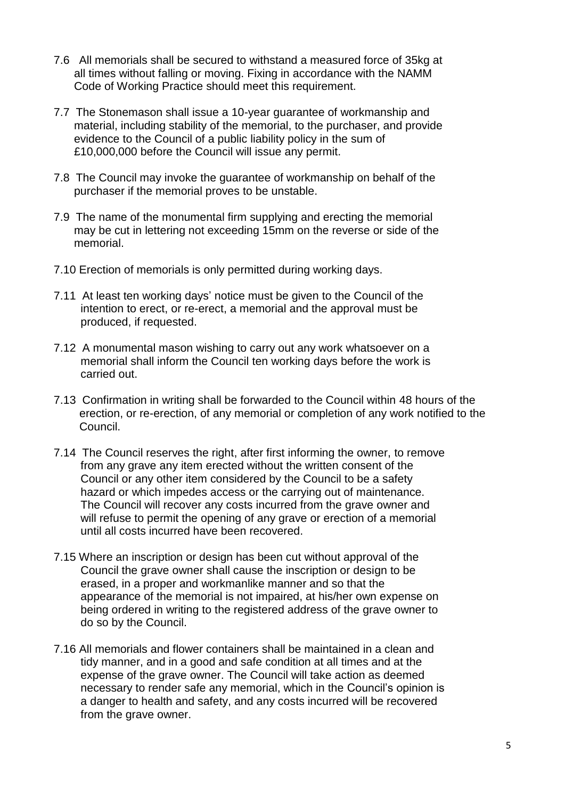- 7.6 All memorials shall be secured to withstand a measured force of 35kg at all times without falling or moving. Fixing in accordance with the NAMM Code of Working Practice should meet this requirement.
- 7.7 The Stonemason shall issue a 10-year guarantee of workmanship and material, including stability of the memorial, to the purchaser, and provide evidence to the Council of a public liability policy in the sum of £10,000,000 before the Council will issue any permit.
- 7.8 The Council may invoke the guarantee of workmanship on behalf of the purchaser if the memorial proves to be unstable.
- 7.9 The name of the monumental firm supplying and erecting the memorial may be cut in lettering not exceeding 15mm on the reverse or side of the memorial.
- 7.10 Erection of memorials is only permitted during working days.
- 7.11 At least ten working days' notice must be given to the Council of the intention to erect, or re-erect, a memorial and the approval must be produced, if requested.
- 7.12 A monumental mason wishing to carry out any work whatsoever on a memorial shall inform the Council ten working days before the work is carried out.
- 7.13 Confirmation in writing shall be forwarded to the Council within 48 hours of the erection, or re-erection, of any memorial or completion of any work notified to the Council.
- 7.14 The Council reserves the right, after first informing the owner, to remove from any grave any item erected without the written consent of the Council or any other item considered by the Council to be a safety hazard or which impedes access or the carrying out of maintenance. The Council will recover any costs incurred from the grave owner and will refuse to permit the opening of any grave or erection of a memorial until all costs incurred have been recovered.
- 7.15 Where an inscription or design has been cut without approval of the Council the grave owner shall cause the inscription or design to be erased, in a proper and workmanlike manner and so that the appearance of the memorial is not impaired, at his/her own expense on being ordered in writing to the registered address of the grave owner to do so by the Council.
- 7.16 All memorials and flower containers shall be maintained in a clean and tidy manner, and in a good and safe condition at all times and at the expense of the grave owner. The Council will take action as deemed necessary to render safe any memorial, which in the Council's opinion is a danger to health and safety, and any costs incurred will be recovered from the grave owner.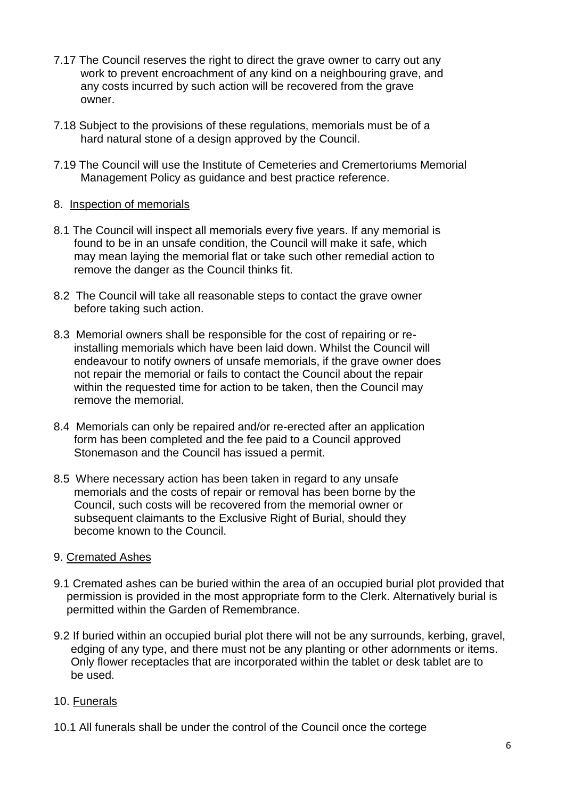- 7.17 The Council reserves the right to direct the grave owner to carry out any work to prevent encroachment of any kind on a neighbouring grave, and any costs incurred by such action will be recovered from the grave owner.
- 7.18 Subject to the provisions of these regulations, memorials must be of a hard natural stone of a design approved by the Council.
- 7.19 The Council will use the Institute of Cemeteries and Cremertoriums Memorial Management Policy as guidance and best practice reference.

### 8. Inspection of memorials

- 8.1 The Council will inspect all memorials every five years. If any memorial is found to be in an unsafe condition, the Council will make it safe, which may mean laying the memorial flat or take such other remedial action to remove the danger as the Council thinks fit.
- 8.2 The Council will take all reasonable steps to contact the grave owner before taking such action.
- 8.3 Memorial owners shall be responsible for the cost of repairing or reinstalling memorials which have been laid down. Whilst the Council will endeavour to notify owners of unsafe memorials, if the grave owner does not repair the memorial or fails to contact the Council about the repair within the requested time for action to be taken, then the Council may remove the memorial.
- 8.4 Memorials can only be repaired and/or re-erected after an application form has been completed and the fee paid to a Council approved Stonemason and the Council has issued a permit.
- 8.5 Where necessary action has been taken in regard to any unsafe memorials and the costs of repair or removal has been borne by the Council, such costs will be recovered from the memorial owner or subsequent claimants to the Exclusive Right of Burial, should they become known to the Council.

#### 9. Cremated Ashes

- 9.1 Cremated ashes can be buried within the area of an occupied burial plot provided that permission is provided in the most appropriate form to the Clerk. Alternatively burial is permitted within the Garden of Remembrance.
- 9.2 If buried within an occupied burial plot there will not be any surrounds, kerbing, gravel, edging of any type, and there must not be any planting or other adornments or items. Only flower receptacles that are incorporated within the tablet or desk tablet are to be used.

## 10. Funerals

10.1 All funerals shall be under the control of the Council once the cortege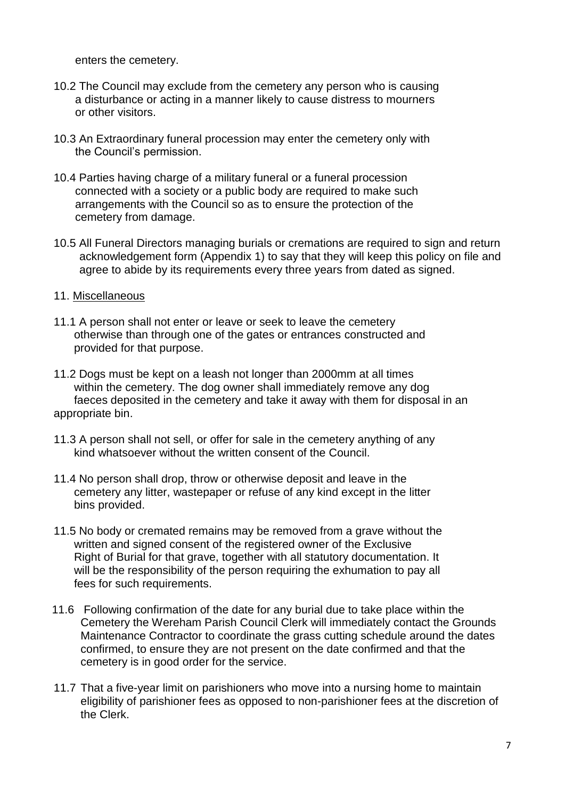enters the cemetery.

- 10.2 The Council may exclude from the cemetery any person who is causing a disturbance or acting in a manner likely to cause distress to mourners or other visitors.
- 10.3 An Extraordinary funeral procession may enter the cemetery only with the Council's permission.
- 10.4 Parties having charge of a military funeral or a funeral procession connected with a society or a public body are required to make such arrangements with the Council so as to ensure the protection of the cemetery from damage.
- 10.5 All Funeral Directors managing burials or cremations are required to sign and return acknowledgement form (Appendix 1) to say that they will keep this policy on file and agree to abide by its requirements every three years from dated as signed.

#### 11. Miscellaneous

11.1 A person shall not enter or leave or seek to leave the cemetery otherwise than through one of the gates or entrances constructed and provided for that purpose.

11.2 Dogs must be kept on a leash not longer than 2000mm at all times within the cemetery. The dog owner shall immediately remove any dog faeces deposited in the cemetery and take it away with them for disposal in an appropriate bin.

- 11.3 A person shall not sell, or offer for sale in the cemetery anything of any kind whatsoever without the written consent of the Council.
- 11.4 No person shall drop, throw or otherwise deposit and leave in the cemetery any litter, wastepaper or refuse of any kind except in the litter bins provided.
- 11.5 No body or cremated remains may be removed from a grave without the written and signed consent of the registered owner of the Exclusive Right of Burial for that grave, together with all statutory documentation. It will be the responsibility of the person requiring the exhumation to pay all fees for such requirements.
- 11.6 Following confirmation of the date for any burial due to take place within the Cemetery the Wereham Parish Council Clerk will immediately contact the Grounds Maintenance Contractor to coordinate the grass cutting schedule around the dates confirmed, to ensure they are not present on the date confirmed and that the cemetery is in good order for the service.
- 11.7 That a five-year limit on parishioners who move into a nursing home to maintain eligibility of parishioner fees as opposed to non-parishioner fees at the discretion of the Clerk.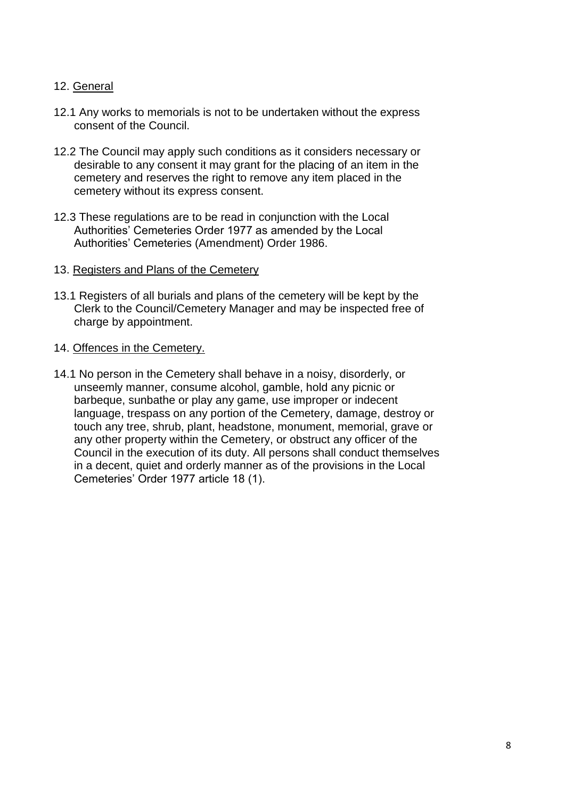## 12. General

- 12.1 Any works to memorials is not to be undertaken without the express consent of the Council.
- 12.2 The Council may apply such conditions as it considers necessary or desirable to any consent it may grant for the placing of an item in the cemetery and reserves the right to remove any item placed in the cemetery without its express consent.
- 12.3 These regulations are to be read in conjunction with the Local Authorities' Cemeteries Order 1977 as amended by the Local Authorities' Cemeteries (Amendment) Order 1986.
- 13. Registers and Plans of the Cemetery
- 13.1 Registers of all burials and plans of the cemetery will be kept by the Clerk to the Council/Cemetery Manager and may be inspected free of charge by appointment.
- 14. Offences in the Cemetery.
- 14.1 No person in the Cemetery shall behave in a noisy, disorderly, or unseemly manner, consume alcohol, gamble, hold any picnic or barbeque, sunbathe or play any game, use improper or indecent language, trespass on any portion of the Cemetery, damage, destroy or touch any tree, shrub, plant, headstone, monument, memorial, grave or any other property within the Cemetery, or obstruct any officer of the Council in the execution of its duty. All persons shall conduct themselves in a decent, quiet and orderly manner as of the provisions in the Local Cemeteries' Order 1977 article 18 (1).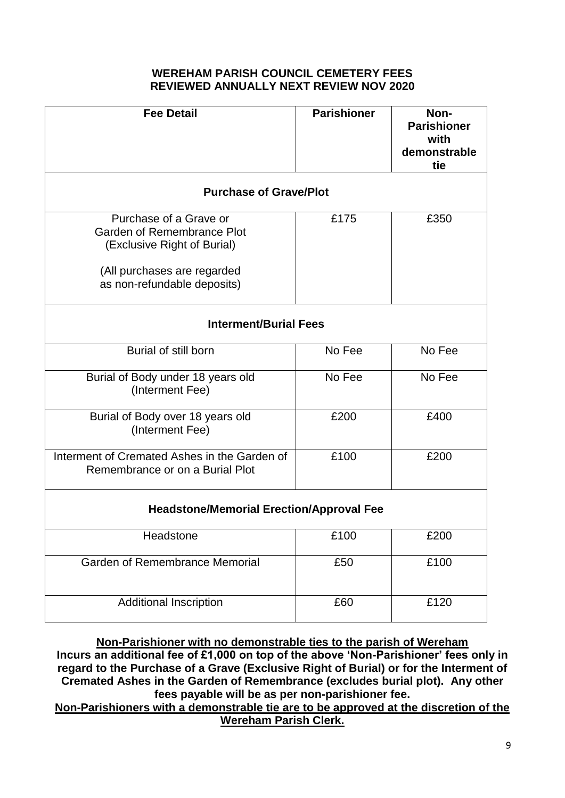#### **WEREHAM PARISH COUNCIL CEMETERY FEES REVIEWED ANNUALLY NEXT REVIEW NOV 2020**

| <b>Fee Detail</b>                                                                                                                                 | <b>Parishioner</b> | Non-<br><b>Parishioner</b><br>with<br>demonstrable<br>tie |  |  |
|---------------------------------------------------------------------------------------------------------------------------------------------------|--------------------|-----------------------------------------------------------|--|--|
| <b>Purchase of Grave/Plot</b>                                                                                                                     |                    |                                                           |  |  |
| Purchase of a Grave or<br>Garden of Remembrance Plot<br>(Exclusive Right of Burial)<br>(All purchases are regarded<br>as non-refundable deposits) | £175               | £350                                                      |  |  |
| <b>Interment/Burial Fees</b>                                                                                                                      |                    |                                                           |  |  |
| Burial of still born                                                                                                                              | No Fee             | No Fee                                                    |  |  |
| Burial of Body under 18 years old<br>(Interment Fee)                                                                                              | No Fee             | No Fee                                                    |  |  |
| Burial of Body over 18 years old<br>(Interment Fee)                                                                                               | £200               | £400                                                      |  |  |
| Interment of Cremated Ashes in the Garden of<br>Remembrance or on a Burial Plot                                                                   | £100               | £200                                                      |  |  |
| <b>Headstone/Memorial Erection/Approval Fee</b>                                                                                                   |                    |                                                           |  |  |
| Headstone                                                                                                                                         | £100               | £200                                                      |  |  |
| Garden of Remembrance Memorial                                                                                                                    | £50                | £100                                                      |  |  |
| <b>Additional Inscription</b>                                                                                                                     | £60                | £120                                                      |  |  |

**Non-Parishioner with no demonstrable ties to the parish of Wereham** 

**Incurs an additional fee of £1,000 on top of the above 'Non-Parishioner' fees only in regard to the Purchase of a Grave (Exclusive Right of Burial) or for the Interment of Cremated Ashes in the Garden of Remembrance (excludes burial plot). Any other fees payable will be as per non-parishioner fee.**

**Non-Parishioners with a demonstrable tie are to be approved at the discretion of the Wereham Parish Clerk.**